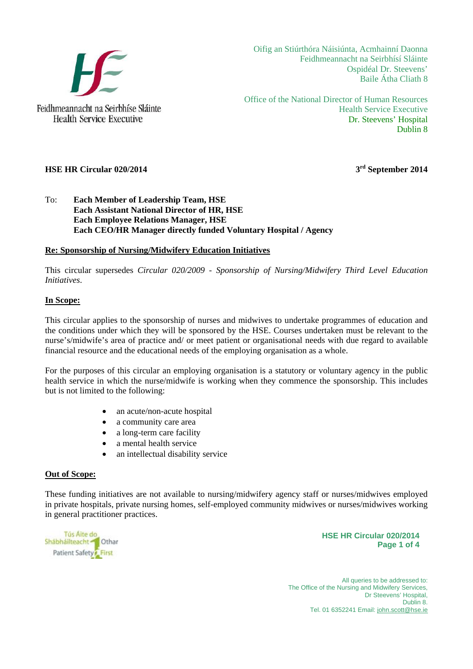

Oifig an Stiúrthóra Náisiúnta, Acmhainní Daonna Feidhmeannacht na Seirbhísí Sláinte Ospidéal Dr. Steevens' Baile Átha Cliath 8

Office of the National Director of Human Resources Health Service Executive Dr. Steevens' Hospital Dublin 8

# **HSE HR Circular 020/2014** 3<sup>rd</sup> September 2014

# To: **Each Member of Leadership Team, HSE Each Assistant National Director of HR, HSE Each Employee Relations Manager, HSE Each CEO/HR Manager directly funded Voluntary Hospital / Agency**

# **Re: Sponsorship of Nursing/Midwifery Education Initiatives**

This circular supersedes *Circular 020/2009 - Sponsorship of Nursing/Midwifery Third Level Education Initiatives*.

## **In Scope:**

This circular applies to the sponsorship of nurses and midwives to undertake programmes of education and the conditions under which they will be sponsored by the HSE. Courses undertaken must be relevant to the nurse's/midwife's area of practice and/ or meet patient or organisational needs with due regard to available financial resource and the educational needs of the employing organisation as a whole.

For the purposes of this circular an employing organisation is a statutory or voluntary agency in the public health service in which the nurse/midwife is working when they commence the sponsorship. This includes but is not limited to the following:

- an acute/non-acute hospital
- a community care area
- a long-term care facility
- a mental health service
- an intellectual disability service

### **Out of Scope:**

These funding initiatives are not available to nursing/midwifery agency staff or nurses/midwives employed in private hospitals, private nursing homes, self-employed community midwives or nurses/midwives working in general practitioner practices.

| Tús Aite do                       |  |
|-----------------------------------|--|
| Shabhailteacht <sup>1</sup> Othar |  |
| Patient Safety First              |  |

**HSE HR Circular 020/2014 Page 1 of 4**

All queries to be addressed to: The Office of the Nursing and Midwifery Services. Dr Steevens' Hospital, Dublin 8. Tel. 01 6352241 Email: john.scott@hse.ie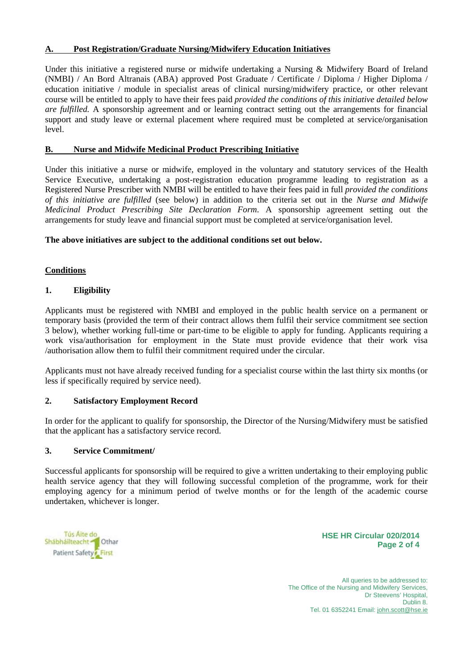## **A. Post Registration/Graduate Nursing/Midwifery Education Initiatives**

Under this initiative a registered nurse or midwife undertaking a Nursing & Midwifery Board of Ireland (NMBI) / An Bord Altranais (ABA) approved Post Graduate / Certificate / Diploma / Higher Diploma / education initiative / module in specialist areas of clinical nursing/midwifery practice, or other relevant course will be entitled to apply to have their fees paid *provided the conditions of this initiative detailed below are fulfilled.* A sponsorship agreement and or learning contract setting out the arrangements for financial support and study leave or external placement where required must be completed at service/organisation level.

## **B. Nurse and Midwife Medicinal Product Prescribing Initiative**

Under this initiative a nurse or midwife, employed in the voluntary and statutory services of the Health Service Executive, undertaking a post-registration education programme leading to registration as a Registered Nurse Prescriber with NMBI will be entitled to have their fees paid in full *provided the conditions of this initiative are fulfilled* (see below) in addition to the criteria set out in the *Nurse and Midwife Medicinal Product Prescribing Site Declaration Form*. A sponsorship agreement setting out the arrangements for study leave and financial support must be completed at service/organisation level.

## **The above initiatives are subject to the additional conditions set out below.**

# **Conditions**

## **1. Eligibility**

Applicants must be registered with NMBI and employed in the public health service on a permanent or temporary basis (provided the term of their contract allows them fulfil their service commitment see section 3 below), whether working full-time or part-time to be eligible to apply for funding. Applicants requiring a work visa/authorisation for employment in the State must provide evidence that their work visa /authorisation allow them to fulfil their commitment required under the circular.

Applicants must not have already received funding for a specialist course within the last thirty six months (or less if specifically required by service need).

### **2. Satisfactory Employment Record**

In order for the applicant to qualify for sponsorship, the Director of the Nursing/Midwifery must be satisfied that the applicant has a satisfactory service record.

### **3. Service Commitment/**

Successful applicants for sponsorship will be required to give a written undertaking to their employing public health service agency that they will following successful completion of the programme, work for their employing agency for a minimum period of twelve months or for the length of the academic course undertaken, whichever is longer.

| Tús Aite do<br>Shabhailteacht Char |  |
|------------------------------------|--|
| Patient Safety First               |  |

**HSE HR Circular 020/2014 Page 2 of 4**

All queries to be addressed to: The Office of the Nursing and Midwifery Services. Dr Steevens' Hospital, Dublin 8. Tel. 01 6352241 Email: john.scott@hse.ie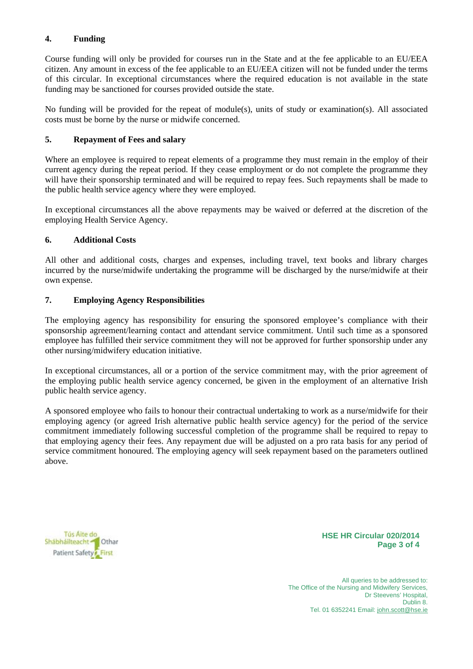## **4. Funding**

Course funding will only be provided for courses run in the State and at the fee applicable to an EU/EEA citizen. Any amount in excess of the fee applicable to an EU/EEA citizen will not be funded under the terms of this circular. In exceptional circumstances where the required education is not available in the state funding may be sanctioned for courses provided outside the state.

No funding will be provided for the repeat of module(s), units of study or examination(s). All associated costs must be borne by the nurse or midwife concerned.

## **5. Repayment of Fees and salary**

Where an employee is required to repeat elements of a programme they must remain in the employ of their current agency during the repeat period. If they cease employment or do not complete the programme they will have their sponsorship terminated and will be required to repay fees. Such repayments shall be made to the public health service agency where they were employed.

In exceptional circumstances all the above repayments may be waived or deferred at the discretion of the employing Health Service Agency.

## **6. Additional Costs**

All other and additional costs, charges and expenses, including travel, text books and library charges incurred by the nurse/midwife undertaking the programme will be discharged by the nurse/midwife at their own expense.

## **7. Employing Agency Responsibilities**

The employing agency has responsibility for ensuring the sponsored employee's compliance with their sponsorship agreement/learning contact and attendant service commitment. Until such time as a sponsored employee has fulfilled their service commitment they will not be approved for further sponsorship under any other nursing/midwifery education initiative.

In exceptional circumstances, all or a portion of the service commitment may, with the prior agreement of the employing public health service agency concerned, be given in the employment of an alternative Irish public health service agency.

A sponsored employee who fails to honour their contractual undertaking to work as a nurse/midwife for their employing agency (or agreed Irish alternative public health service agency) for the period of the service commitment immediately following successful completion of the programme shall be required to repay to that employing agency their fees. Any repayment due will be adjusted on a pro rata basis for any period of service commitment honoured. The employing agency will seek repayment based on the parameters outlined above.

Tús Aite do Shabhailteacht Char Patient Safety<sup>2</sup> First

**HSE HR Circular 020/2014 Page 3 of 4**

All queries to be addressed to: The Office of the Nursing and Midwifery Services. Dr Steevens' Hospital, Dublin 8. Tel. 01 6352241 Email: john.scott@hse.ie